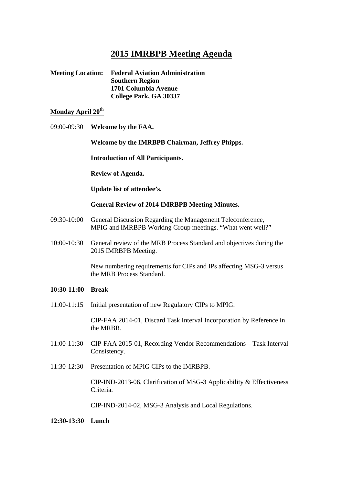# **2015 IMRBPB Meeting Agenda**

| <b>Meeting Location:</b> | <b>Federal Aviation Administration</b> |
|--------------------------|----------------------------------------|
|                          | <b>Southern Region</b>                 |
|                          | 1701 Columbia Avenue                   |
|                          | College Park, GA 30337                 |

#### **Monday April 20<sup>th</sup>**

09:00-09:30 **Welcome by the FAA.** 

 **Welcome by the IMRBPB Chairman, Jeffrey Phipps.** 

 **Introduction of All Participants.** 

 **Review of Agenda.** 

 **Update list of attendee's.** 

**General Review of 2014 IMRBPB Meeting Minutes.** 

- 09:30-10:00 General Discussion Regarding the Management Teleconference, MPIG and IMRBPB Working Group meetings. "What went well?"
- 10:00-10:30 General review of the MRB Process Standard and objectives during the 2015 IMRBPB Meeting.

 New numbering requirements for CIPs and IPs affecting MSG-3 versus the MRB Process Standard.

- **10:30-11:00 Break**
- 11:00-11:15 Initial presentation of new Regulatory CIPs to MPIG.

 CIP-FAA 2014-01, Discard Task Interval Incorporation by Reference in the MRBR.

- 11:00-11:30 CIP-FAA 2015-01, Recording Vendor Recommendations Task Interval Consistency.
- 11:30-12:30 Presentation of MPIG CIPs to the IMRBPB.

 CIP-IND-2013-06, Clarification of MSG-3 Applicability & Effectiveness Criteria.

CIP-IND-2014-02, MSG-3 Analysis and Local Regulations.

#### **12:30-13:30 Lunch**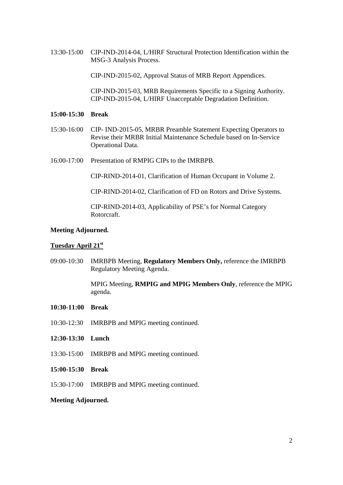13:30-15:00 CIP-IND-2014-04, L/HIRF Structural Protection Identification within the MSG-3 Analysis Process.

CIP-IND-2015-02, Approval Status of MRB Report Appendices.

 CIP-IND-2015-03, MRB Requirements Specific to a Signing Authority. CIP-IND-2015-04, L/HIRF Unacceptable Degradation Definition.

#### **15:00-15:30 Break**

- 15:30-16:00 CIP- IND-2015-05, MRBR Preamble Statement Expecting Operators to Revise their MRBR Initial Maintenance Schedule based on In-Service Operational Data.
- 16:00-17:00 Presentation of RMPIG CIPs to the IMRBPB.

CIP-RIND-2014-01, Clarification of Human Occupant in Volume 2.

CIP-RIND-2014-02, Clarification of FD on Rotors and Drive Systems.

 CIP-RIND-2014-03, Applicability of PSE's for Normal Category Rotorcraft.

#### **Meeting Adjourned.**

#### **Tuesday April 21st**

09:00-10:30 IMRBPB Meeting, **Regulatory Members Only,** reference the IMRBPB Regulatory Meeting Agenda.

> MPIG Meeting, **RMPIG and MPIG Members Only**, reference the MPIG agenda.

- **10:30-11:00 Break**
- 10:30-12:30 IMRBPB and MPIG meeting continued.
- **12:30-13:30 Lunch**
- 13:30-15:00 IMRBPB and MPIG meeting continued.
- **15:00-15:30 Break**
- 15:30-17:00 IMRBPB and MPIG meeting continued.

#### **Meeting Adjourned.**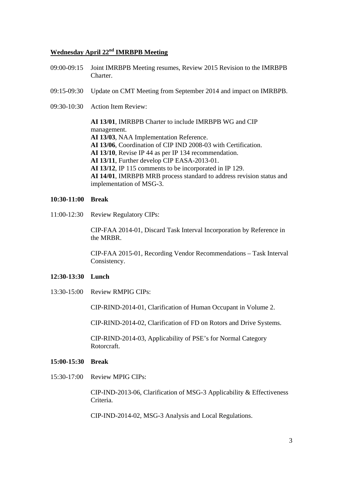# **Wednesday April 22nd IMRBPB Meeting**

- 09:00-09:15 Joint IMRBPB Meeting resumes, Review 2015 Revision to the IMRBPB Charter.
- 09:15-09:30 Update on CMT Meeting from September 2014 and impact on IMRBPB.
- 09:30-10:30 Action Item Review:

 **AI 13/01**, IMRBPB Charter to include IMRBPB WG and CIP management. **AI 13/03**, NAA Implementation Reference. **AI 13/06**, Coordination of CIP IND 2008-03 with Certification. **AI 13/10**, Revise IP 44 as per IP 134 recommendation. **AI 13/11**, Further develop CIP EASA-2013-01. **AI 13/12**, IP 115 comments to be incorporated in IP 129. **AI 14/01**, IMRBPB MRB process standard to address revision status and implementation of MSG-3.

#### **10:30-11:00 Break**

11:00-12:30 Review Regulatory CIPs:

 CIP-FAA 2014-01, Discard Task Interval Incorporation by Reference in the MRBR.

 CIP-FAA 2015-01, Recording Vendor Recommendations – Task Interval Consistency.

#### **12:30-13:30 Lunch**

13:30-15:00 Review RMPIG CIPs:

CIP-RIND-2014-01, Clarification of Human Occupant in Volume 2.

CIP-RIND-2014-02, Clarification of FD on Rotors and Drive Systems.

 CIP-RIND-2014-03, Applicability of PSE's for Normal Category Rotorcraft.

#### **15:00-15:30 Break**

15:30-17:00 Review MPIG CIPs:

 CIP-IND-2013-06, Clarification of MSG-3 Applicability & Effectiveness Criteria.

CIP-IND-2014-02, MSG-3 Analysis and Local Regulations.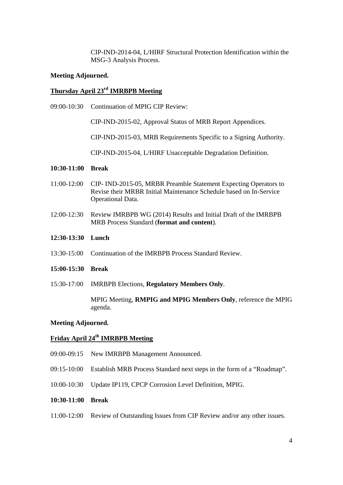CIP-IND-2014-04, L/HIRF Structural Protection Identification within the MSG-3 Analysis Process.

#### **Meeting Adjourned.**

#### **Thursday April 23rd IMRBPB Meeting**

09:00-10:30 Continuation of MPIG CIP Review:

CIP-IND-2015-02, Approval Status of MRB Report Appendices.

CIP-IND-2015-03, MRB Requirements Specific to a Signing Authority.

CIP-IND-2015-04, L/HIRF Unacceptable Degradation Definition.

#### **10:30-11:00 Break**

- 11:00-12:00 CIP- IND-2015-05, MRBR Preamble Statement Expecting Operators to Revise their MRBR Initial Maintenance Schedule based on In-Service Operational Data.
- 12:00-12:30 Review IMRBPB WG (2014) Results and Initial Draft of the IMRBPB MRB Process Standard (**format and content**).

#### **12:30-13:30 Lunch**

- 13:30-15:00 Continuation of the IMRBPB Process Standard Review.
- **15:00-15:30 Break**
- 15:30-17:00 IMRBPB Elections, **Regulatory Members Only**.

 MPIG Meeting, **RMPIG and MPIG Members Only**, reference the MPIG agenda.

#### **Meeting Adjourned.**

### **Friday April 24th IMRBPB Meeting**

- 09:00-09:15 New IMRBPB Management Announced.
- 09:15-10:00 Establish MRB Process Standard next steps in the form of a "Roadmap".
- 10:00-10:30 Update IP119, CPCP Corrosion Level Definition, MPIG.
- **10:30-11:00 Break**
- 11:00-12:00 Review of Outstanding Issues from CIP Review and/or any other issues.